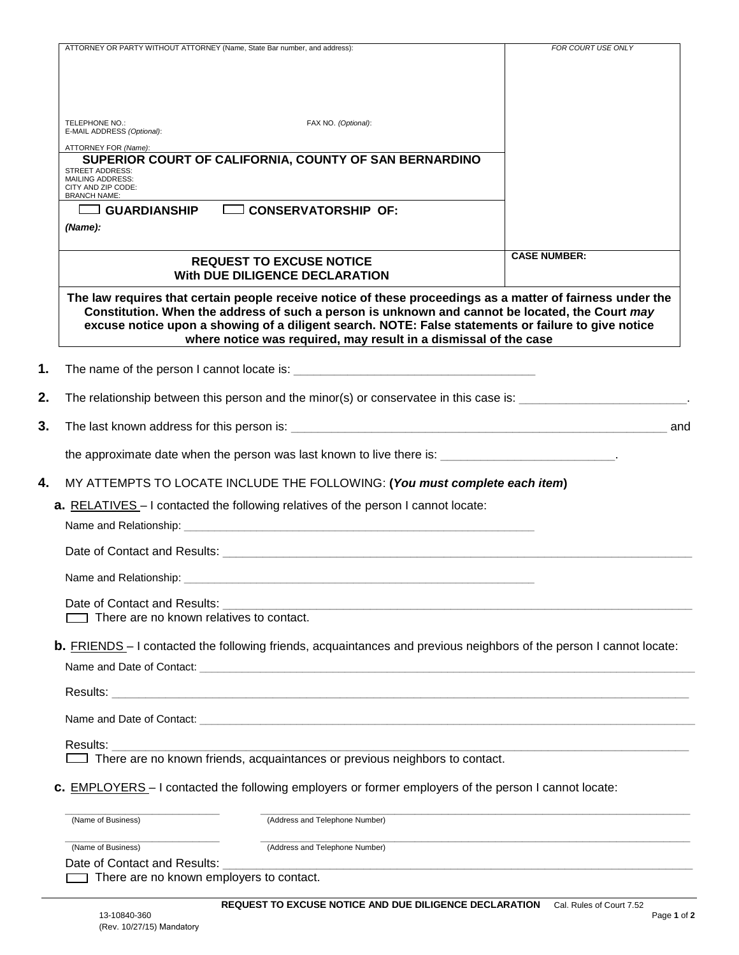| FAX NO. (Optional):<br>TELEPHONE NO.:<br>E-MAIL ADDRESS (Optional):<br>ATTORNEY FOR (Name):<br>SUPERIOR COURT OF CALIFORNIA, COUNTY OF SAN BERNARDINO<br><b>STREET ADDRESS:</b><br><b>MAILING ADDRESS:</b><br>CITY AND ZIP CODE:<br><b>BRANCH NAME:</b><br>GUARDIANSHIP CONSERVATORSHIP OF:<br>(Name):<br><b>CASE NUMBER:</b><br><b>REQUEST TO EXCUSE NOTICE</b><br><b>With DUE DILIGENCE DECLARATION</b><br>The law requires that certain people receive notice of these proceedings as a matter of fairness under the<br>Constitution. When the address of such a person is unknown and cannot be located, the Court may<br>excuse notice upon a showing of a diligent search. NOTE: False statements or failure to give notice<br>where notice was required, may result in a dismissal of the case<br>1.<br>2.<br>The relationship between this person and the minor(s) or conservatee in this case is: ___________________________.<br>3.<br>and<br>the approximate date when the person was last known to live there is: ___________________________<br>4.<br>MY ATTEMPTS TO LOCATE INCLUDE THE FOLLOWING: (You must complete each item)<br><b>a.</b> RELATIVES – I contacted the following relatives of the person I cannot locate:<br>Date of Contact and Results: example and the set of Contact and Results:<br>Name and Relationship:<br>Date of Contact and Results:<br>There are no known relatives to contact.<br><b>b.</b> FRIENDS - I contacted the following friends, acquaintances and previous neighbors of the person I cannot locate:<br>Name and Date of Contact: Learning and Contact: Learning and Contact and Contact and Contact and Contact: Learning and Contact: Learning and Contact: Learning and Contact: Learning and Contact: Learning and Contact: Learni<br>Results: The contract of the contract of the contract of the contract of the contract of the contract of the contract of the contract of the contract of the contract of the contract of the contract of the contract of the c<br>Results: <b>Note 18</b><br>There are no known friends, acquaintances or previous neighbors to contact.<br>c. EMPLOYERS - I contacted the following employers or former employers of the person I cannot locate:<br>(Address and Telephone Number)<br>(Name of Business)<br>(Name of Business)<br>(Address and Telephone Number) | ATTORNEY OR PARTY WITHOUT ATTORNEY (Name, State Bar number, and address): | FOR COURT USE ONLY |
|------------------------------------------------------------------------------------------------------------------------------------------------------------------------------------------------------------------------------------------------------------------------------------------------------------------------------------------------------------------------------------------------------------------------------------------------------------------------------------------------------------------------------------------------------------------------------------------------------------------------------------------------------------------------------------------------------------------------------------------------------------------------------------------------------------------------------------------------------------------------------------------------------------------------------------------------------------------------------------------------------------------------------------------------------------------------------------------------------------------------------------------------------------------------------------------------------------------------------------------------------------------------------------------------------------------------------------------------------------------------------------------------------------------------------------------------------------------------------------------------------------------------------------------------------------------------------------------------------------------------------------------------------------------------------------------------------------------------------------------------------------------------------------------------------------------------------------------------------------------------------------------------------------------------------------------------------------------------------------------------------------------------------------------------------------------------------------------------------------------------------------------------------------------------------------------------------------------------------------------------------------------------------------------------------------------------------------------------------------------|---------------------------------------------------------------------------|--------------------|
|                                                                                                                                                                                                                                                                                                                                                                                                                                                                                                                                                                                                                                                                                                                                                                                                                                                                                                                                                                                                                                                                                                                                                                                                                                                                                                                                                                                                                                                                                                                                                                                                                                                                                                                                                                                                                                                                                                                                                                                                                                                                                                                                                                                                                                                                                                                                                                  |                                                                           |                    |
|                                                                                                                                                                                                                                                                                                                                                                                                                                                                                                                                                                                                                                                                                                                                                                                                                                                                                                                                                                                                                                                                                                                                                                                                                                                                                                                                                                                                                                                                                                                                                                                                                                                                                                                                                                                                                                                                                                                                                                                                                                                                                                                                                                                                                                                                                                                                                                  |                                                                           |                    |
|                                                                                                                                                                                                                                                                                                                                                                                                                                                                                                                                                                                                                                                                                                                                                                                                                                                                                                                                                                                                                                                                                                                                                                                                                                                                                                                                                                                                                                                                                                                                                                                                                                                                                                                                                                                                                                                                                                                                                                                                                                                                                                                                                                                                                                                                                                                                                                  |                                                                           |                    |
|                                                                                                                                                                                                                                                                                                                                                                                                                                                                                                                                                                                                                                                                                                                                                                                                                                                                                                                                                                                                                                                                                                                                                                                                                                                                                                                                                                                                                                                                                                                                                                                                                                                                                                                                                                                                                                                                                                                                                                                                                                                                                                                                                                                                                                                                                                                                                                  |                                                                           |                    |
|                                                                                                                                                                                                                                                                                                                                                                                                                                                                                                                                                                                                                                                                                                                                                                                                                                                                                                                                                                                                                                                                                                                                                                                                                                                                                                                                                                                                                                                                                                                                                                                                                                                                                                                                                                                                                                                                                                                                                                                                                                                                                                                                                                                                                                                                                                                                                                  |                                                                           |                    |
|                                                                                                                                                                                                                                                                                                                                                                                                                                                                                                                                                                                                                                                                                                                                                                                                                                                                                                                                                                                                                                                                                                                                                                                                                                                                                                                                                                                                                                                                                                                                                                                                                                                                                                                                                                                                                                                                                                                                                                                                                                                                                                                                                                                                                                                                                                                                                                  |                                                                           |                    |
|                                                                                                                                                                                                                                                                                                                                                                                                                                                                                                                                                                                                                                                                                                                                                                                                                                                                                                                                                                                                                                                                                                                                                                                                                                                                                                                                                                                                                                                                                                                                                                                                                                                                                                                                                                                                                                                                                                                                                                                                                                                                                                                                                                                                                                                                                                                                                                  |                                                                           |                    |
|                                                                                                                                                                                                                                                                                                                                                                                                                                                                                                                                                                                                                                                                                                                                                                                                                                                                                                                                                                                                                                                                                                                                                                                                                                                                                                                                                                                                                                                                                                                                                                                                                                                                                                                                                                                                                                                                                                                                                                                                                                                                                                                                                                                                                                                                                                                                                                  |                                                                           |                    |
|                                                                                                                                                                                                                                                                                                                                                                                                                                                                                                                                                                                                                                                                                                                                                                                                                                                                                                                                                                                                                                                                                                                                                                                                                                                                                                                                                                                                                                                                                                                                                                                                                                                                                                                                                                                                                                                                                                                                                                                                                                                                                                                                                                                                                                                                                                                                                                  |                                                                           |                    |
|                                                                                                                                                                                                                                                                                                                                                                                                                                                                                                                                                                                                                                                                                                                                                                                                                                                                                                                                                                                                                                                                                                                                                                                                                                                                                                                                                                                                                                                                                                                                                                                                                                                                                                                                                                                                                                                                                                                                                                                                                                                                                                                                                                                                                                                                                                                                                                  |                                                                           |                    |
|                                                                                                                                                                                                                                                                                                                                                                                                                                                                                                                                                                                                                                                                                                                                                                                                                                                                                                                                                                                                                                                                                                                                                                                                                                                                                                                                                                                                                                                                                                                                                                                                                                                                                                                                                                                                                                                                                                                                                                                                                                                                                                                                                                                                                                                                                                                                                                  |                                                                           |                    |
|                                                                                                                                                                                                                                                                                                                                                                                                                                                                                                                                                                                                                                                                                                                                                                                                                                                                                                                                                                                                                                                                                                                                                                                                                                                                                                                                                                                                                                                                                                                                                                                                                                                                                                                                                                                                                                                                                                                                                                                                                                                                                                                                                                                                                                                                                                                                                                  |                                                                           |                    |
|                                                                                                                                                                                                                                                                                                                                                                                                                                                                                                                                                                                                                                                                                                                                                                                                                                                                                                                                                                                                                                                                                                                                                                                                                                                                                                                                                                                                                                                                                                                                                                                                                                                                                                                                                                                                                                                                                                                                                                                                                                                                                                                                                                                                                                                                                                                                                                  |                                                                           |                    |
|                                                                                                                                                                                                                                                                                                                                                                                                                                                                                                                                                                                                                                                                                                                                                                                                                                                                                                                                                                                                                                                                                                                                                                                                                                                                                                                                                                                                                                                                                                                                                                                                                                                                                                                                                                                                                                                                                                                                                                                                                                                                                                                                                                                                                                                                                                                                                                  |                                                                           |                    |
|                                                                                                                                                                                                                                                                                                                                                                                                                                                                                                                                                                                                                                                                                                                                                                                                                                                                                                                                                                                                                                                                                                                                                                                                                                                                                                                                                                                                                                                                                                                                                                                                                                                                                                                                                                                                                                                                                                                                                                                                                                                                                                                                                                                                                                                                                                                                                                  |                                                                           |                    |
|                                                                                                                                                                                                                                                                                                                                                                                                                                                                                                                                                                                                                                                                                                                                                                                                                                                                                                                                                                                                                                                                                                                                                                                                                                                                                                                                                                                                                                                                                                                                                                                                                                                                                                                                                                                                                                                                                                                                                                                                                                                                                                                                                                                                                                                                                                                                                                  |                                                                           |                    |
|                                                                                                                                                                                                                                                                                                                                                                                                                                                                                                                                                                                                                                                                                                                                                                                                                                                                                                                                                                                                                                                                                                                                                                                                                                                                                                                                                                                                                                                                                                                                                                                                                                                                                                                                                                                                                                                                                                                                                                                                                                                                                                                                                                                                                                                                                                                                                                  |                                                                           |                    |
|                                                                                                                                                                                                                                                                                                                                                                                                                                                                                                                                                                                                                                                                                                                                                                                                                                                                                                                                                                                                                                                                                                                                                                                                                                                                                                                                                                                                                                                                                                                                                                                                                                                                                                                                                                                                                                                                                                                                                                                                                                                                                                                                                                                                                                                                                                                                                                  |                                                                           |                    |
|                                                                                                                                                                                                                                                                                                                                                                                                                                                                                                                                                                                                                                                                                                                                                                                                                                                                                                                                                                                                                                                                                                                                                                                                                                                                                                                                                                                                                                                                                                                                                                                                                                                                                                                                                                                                                                                                                                                                                                                                                                                                                                                                                                                                                                                                                                                                                                  |                                                                           |                    |
|                                                                                                                                                                                                                                                                                                                                                                                                                                                                                                                                                                                                                                                                                                                                                                                                                                                                                                                                                                                                                                                                                                                                                                                                                                                                                                                                                                                                                                                                                                                                                                                                                                                                                                                                                                                                                                                                                                                                                                                                                                                                                                                                                                                                                                                                                                                                                                  |                                                                           |                    |
|                                                                                                                                                                                                                                                                                                                                                                                                                                                                                                                                                                                                                                                                                                                                                                                                                                                                                                                                                                                                                                                                                                                                                                                                                                                                                                                                                                                                                                                                                                                                                                                                                                                                                                                                                                                                                                                                                                                                                                                                                                                                                                                                                                                                                                                                                                                                                                  |                                                                           |                    |
|                                                                                                                                                                                                                                                                                                                                                                                                                                                                                                                                                                                                                                                                                                                                                                                                                                                                                                                                                                                                                                                                                                                                                                                                                                                                                                                                                                                                                                                                                                                                                                                                                                                                                                                                                                                                                                                                                                                                                                                                                                                                                                                                                                                                                                                                                                                                                                  |                                                                           |                    |
|                                                                                                                                                                                                                                                                                                                                                                                                                                                                                                                                                                                                                                                                                                                                                                                                                                                                                                                                                                                                                                                                                                                                                                                                                                                                                                                                                                                                                                                                                                                                                                                                                                                                                                                                                                                                                                                                                                                                                                                                                                                                                                                                                                                                                                                                                                                                                                  |                                                                           |                    |
|                                                                                                                                                                                                                                                                                                                                                                                                                                                                                                                                                                                                                                                                                                                                                                                                                                                                                                                                                                                                                                                                                                                                                                                                                                                                                                                                                                                                                                                                                                                                                                                                                                                                                                                                                                                                                                                                                                                                                                                                                                                                                                                                                                                                                                                                                                                                                                  |                                                                           |                    |
|                                                                                                                                                                                                                                                                                                                                                                                                                                                                                                                                                                                                                                                                                                                                                                                                                                                                                                                                                                                                                                                                                                                                                                                                                                                                                                                                                                                                                                                                                                                                                                                                                                                                                                                                                                                                                                                                                                                                                                                                                                                                                                                                                                                                                                                                                                                                                                  |                                                                           |                    |
|                                                                                                                                                                                                                                                                                                                                                                                                                                                                                                                                                                                                                                                                                                                                                                                                                                                                                                                                                                                                                                                                                                                                                                                                                                                                                                                                                                                                                                                                                                                                                                                                                                                                                                                                                                                                                                                                                                                                                                                                                                                                                                                                                                                                                                                                                                                                                                  |                                                                           |                    |